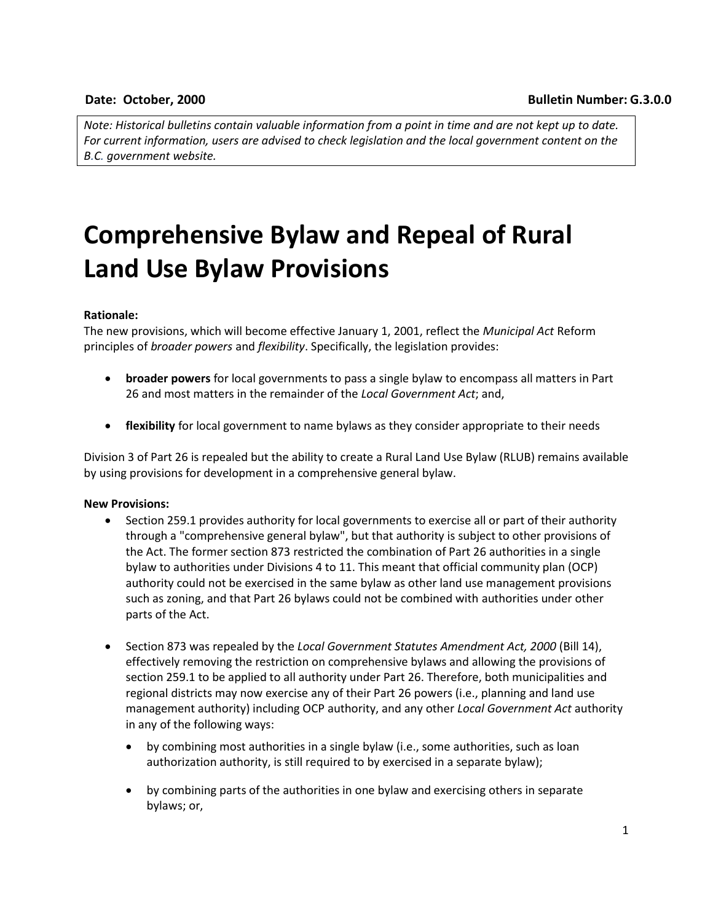*Note: Historical bulletins contain valuable information from a point in time and are not kept up to date. For current information, users are advised to check legislation and the local government content on the B.C. government website.*

# **Comprehensive Bylaw and Repeal of Rural Land Use Bylaw Provisions**

### **Rationale:**

The new provisions, which will become effective January 1, 2001, reflect the *Municipal Act* Reform principles of *broader powers* and *flexibility*. Specifically, the legislation provides:

- **broader powers** for local governments to pass a single bylaw to encompass all matters in Part 26 and most matters in the remainder of the *Local Government Act*; and,
- **flexibility** for local government to name bylaws as they consider appropriate to their needs

Division 3 of Part 26 is repealed but the ability to create a Rural Land Use Bylaw (RLUB) remains available by using provisions for development in a comprehensive general bylaw.

#### **New Provisions:**

- Section 259.1 provides authority for local governments to exercise all or part of their authority through a "comprehensive general bylaw", but that authority is subject to other provisions of the Act. The former section 873 restricted the combination of Part 26 authorities in a single bylaw to authorities under Divisions 4 to 11. This meant that official community plan (OCP) authority could not be exercised in the same bylaw as other land use management provisions such as zoning, and that Part 26 bylaws could not be combined with authorities under other parts of the Act.
- Section 873 was repealed by the *Local Government Statutes Amendment Act, 2000* (Bill 14), effectively removing the restriction on comprehensive bylaws and allowing the provisions of section 259.1 to be applied to all authority under Part 26. Therefore, both municipalities and regional districts may now exercise any of their Part 26 powers (i.e., planning and land use management authority) including OCP authority, and any other *Local Government Act* authority in any of the following ways:
	- by combining most authorities in a single bylaw (i.e., some authorities, such as loan authorization authority, is still required to by exercised in a separate bylaw);
	- by combining parts of the authorities in one bylaw and exercising others in separate bylaws; or,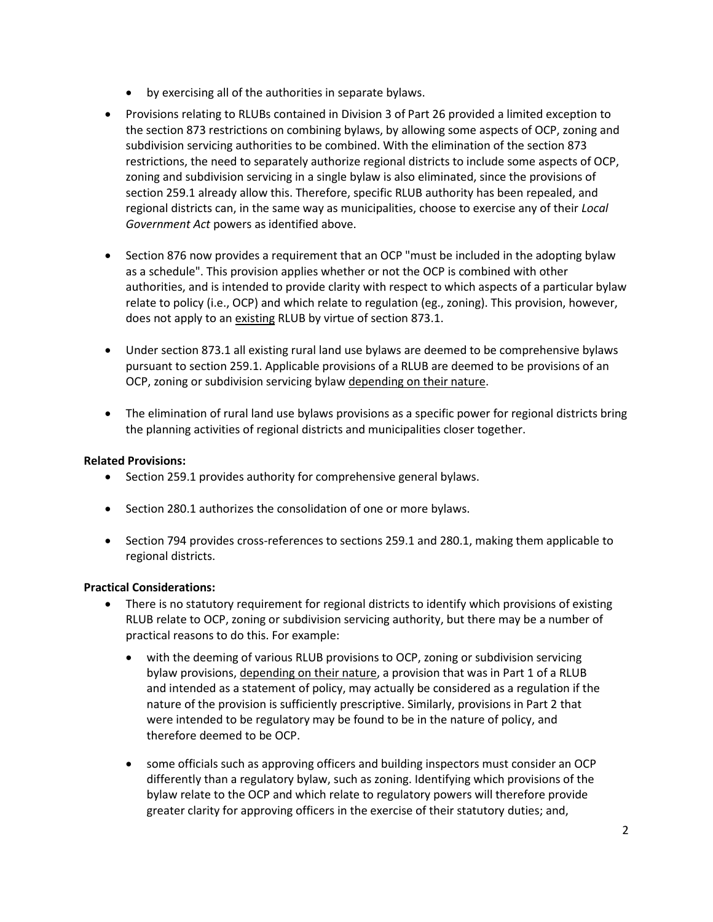- by exercising all of the authorities in separate bylaws.
- Provisions relating to RLUBs contained in Division 3 of Part 26 provided a limited exception to the section 873 restrictions on combining bylaws, by allowing some aspects of OCP, zoning and subdivision servicing authorities to be combined. With the elimination of the section 873 restrictions, the need to separately authorize regional districts to include some aspects of OCP, zoning and subdivision servicing in a single bylaw is also eliminated, since the provisions of section 259.1 already allow this. Therefore, specific RLUB authority has been repealed, and regional districts can, in the same way as municipalities, choose to exercise any of their *Local Government Act* powers as identified above.
- Section 876 now provides a requirement that an OCP "must be included in the adopting bylaw as a schedule". This provision applies whether or not the OCP is combined with other authorities, and is intended to provide clarity with respect to which aspects of a particular bylaw relate to policy (i.e., OCP) and which relate to regulation (eg., zoning). This provision, however, does not apply to an existing RLUB by virtue of section 873.1.
- Under section 873.1 all existing rural land use bylaws are deemed to be comprehensive bylaws pursuant to section 259.1. Applicable provisions of a RLUB are deemed to be provisions of an OCP, zoning or subdivision servicing bylaw depending on their nature.
- The elimination of rural land use bylaws provisions as a specific power for regional districts bring the planning activities of regional districts and municipalities closer together.

# **Related Provisions:**

- Section 259.1 provides authority for comprehensive general bylaws.
- Section 280.1 authorizes the consolidation of one or more bylaws.
- Section 794 provides cross-references to sections 259.1 and 280.1, making them applicable to regional districts.

## **Practical Considerations:**

- There is no statutory requirement for regional districts to identify which provisions of existing RLUB relate to OCP, zoning or subdivision servicing authority, but there may be a number of practical reasons to do this. For example:
	- with the deeming of various RLUB provisions to OCP, zoning or subdivision servicing bylaw provisions, depending on their nature, a provision that was in Part 1 of a RLUB and intended as a statement of policy, may actually be considered as a regulation if the nature of the provision is sufficiently prescriptive. Similarly, provisions in Part 2 that were intended to be regulatory may be found to be in the nature of policy, and therefore deemed to be OCP.
	- some officials such as approving officers and building inspectors must consider an OCP differently than a regulatory bylaw, such as zoning. Identifying which provisions of the bylaw relate to the OCP and which relate to regulatory powers will therefore provide greater clarity for approving officers in the exercise of their statutory duties; and,